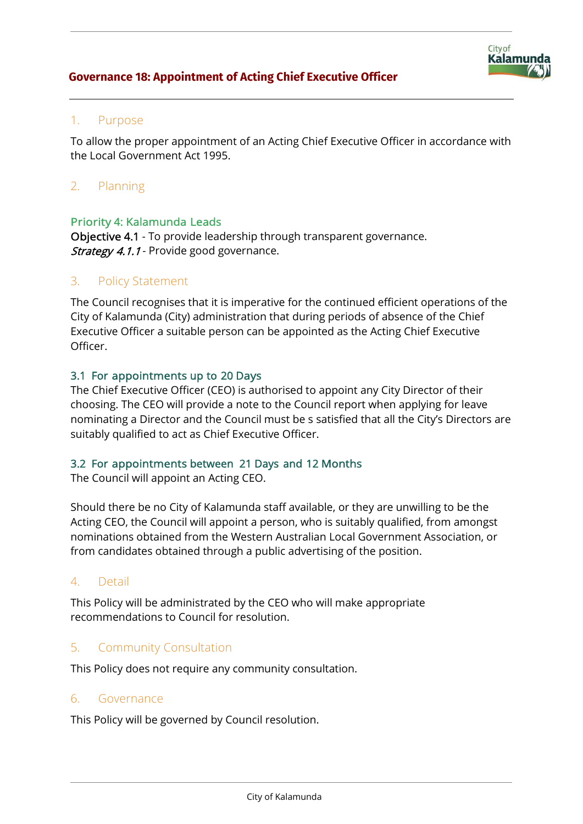

## 1. Purpose

To allow the proper appointment of an Acting Chief Executive Officer in accordance with the Local Government Act 1995.

# 2. Planning

#### Priority 4: Kalamunda Leads

Objective 4.1 - To provide leadership through transparent governance. **Strategy 4.1.1** - Provide good governance.

### 3. Policy Statement

The Council recognises that it is imperative for the continued efficient operations of the City of Kalamunda (City) administration that during periods of absence of the Chief Executive Officer a suitable person can be appointed as the Acting Chief Executive Officer.

#### 3.1 For appointments up to 20 Days

The Chief Executive Officer (CEO) is authorised to appoint any City Director of their choosing. The CEO will provide a note to the Council report when applying for leave nominating a Director and the Council must be s satisfied that all the City's Directors are suitably qualified to act as Chief Executive Officer.

#### 3.2 For appointments between 21 Days and 12 Months

The Council will appoint an Acting CEO.

Should there be no City of Kalamunda staff available, or they are unwilling to be the Acting CEO, the Council will appoint a person, who is suitably qualified, from amongst nominations obtained from the Western Australian Local Government Association, or from candidates obtained through a public advertising of the position.

## 4. Detail

This Policy will be administrated by the CEO who will make appropriate recommendations to Council for resolution.

## 5. Community Consultation

This Policy does not require any community consultation.

#### 6. Governance

This Policy will be governed by Council resolution.